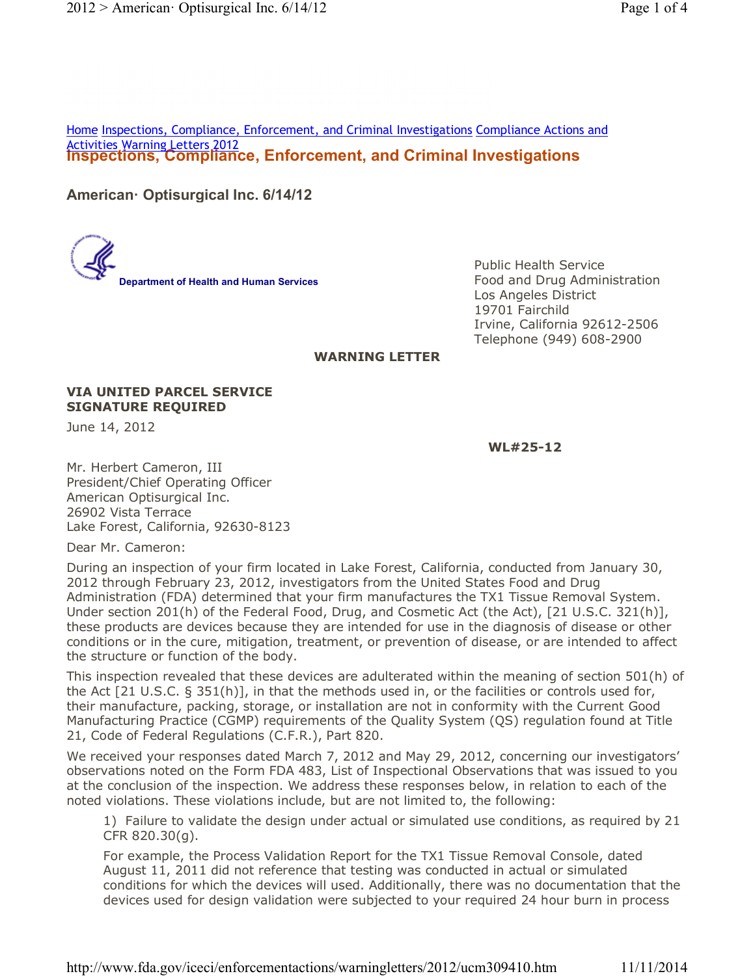**Inspections, Compliance, Enforcement, and Criminal Investigations** Activities Warning Letters 2012 Home Inspections, Compliance, Enforcement, and Criminal Investigations Compliance Actions and

**American· Optisurgical Inc. 6/14/12**

**Department of Health and Human Services**

Public Health Service Food and Drug Administration Los Angeles District 19701 Fairchild Irvine, California 92612-2506 Telephone (949) 608-2900

## **WARNING LETTER**

## **VIA UNITED PARCEL SERVICE SIGNATURE REQUIRED**

June 14, 2012

**WL#25-12**

Mr. Herbert Cameron, III President/Chief Operating Officer American Optisurgical Inc. 26902 Vista Terrace Lake Forest, California, 92630-8123

Dear Mr. Cameron:

During an inspection of your firm located in Lake Forest, California, conducted from January 30, 2012 through February 23, 2012, investigators from the United States Food and Drug Administration (FDA) determined that your firm manufactures the TX1 Tissue Removal System. Under section 201(h) of the Federal Food, Drug, and Cosmetic Act (the Act), [21 U.S.C. 321(h)], these products are devices because they are intended for use in the diagnosis of disease or other conditions or in the cure, mitigation, treatment, or prevention of disease, or are intended to affect the structure or function of the body.

This inspection revealed that these devices are adulterated within the meaning of section 501(h) of the Act [21 U.S.C. § 351(h)], in that the methods used in, or the facilities or controls used for, their manufacture, packing, storage, or installation are not in conformity with the Current Good Manufacturing Practice (CGMP) requirements of the Quality System (QS) regulation found at Title 21, Code of Federal Regulations (C.F.R.), Part 820.

We received your responses dated March 7, 2012 and May 29, 2012, concerning our investigators' observations noted on the Form FDA 483, List of Inspectional Observations that was issued to you at the conclusion of the inspection. We address these responses below, in relation to each of the noted violations. These violations include, but are not limited to, the following:

1) Failure to validate the design under actual or simulated use conditions, as required by 21 CFR 820.30(g).

For example, the Process Validation Report for the TX1 Tissue Removal Console, dated August 11, 2011 did not reference that testing was conducted in actual or simulated conditions for which the devices will used. Additionally, there was no documentation that the devices used for design validation were subjected to your required 24 hour burn in process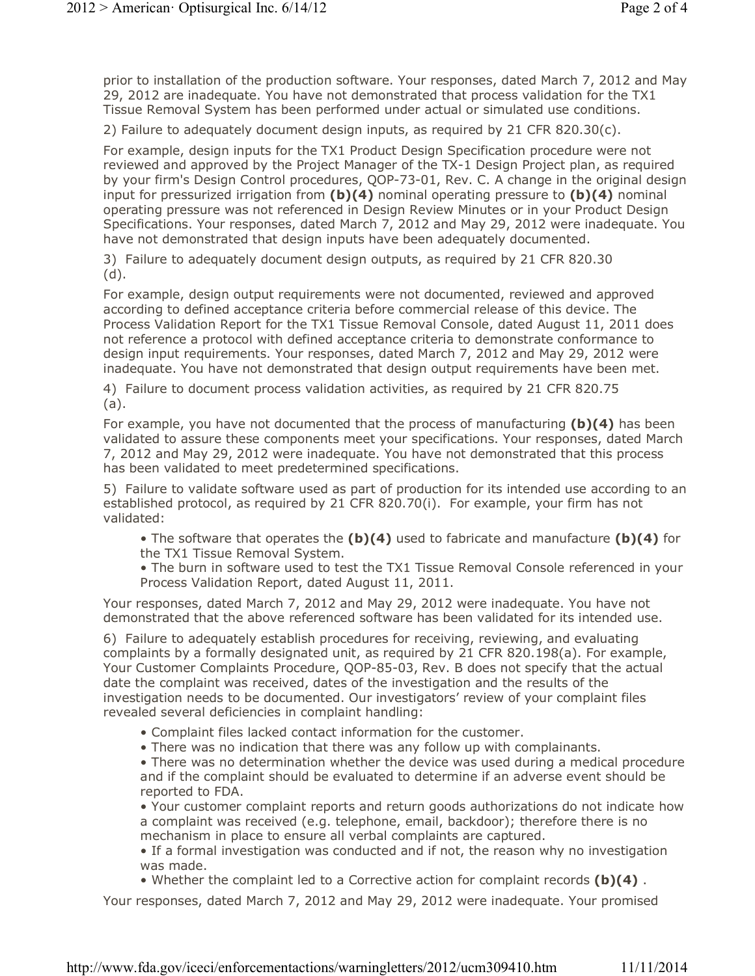prior to installation of the production software. Your responses, dated March 7, 2012 and May 29, 2012 are inadequate. You have not demonstrated that process validation for the TX1 Tissue Removal System has been performed under actual or simulated use conditions.

2) Failure to adequately document design inputs, as required by 21 CFR 820.30(c).

For example, design inputs for the TX1 Product Design Specification procedure were not reviewed and approved by the Project Manager of the TX-1 Design Project plan, as required by your firm's Design Control procedures, QOP-73-01, Rev. C. A change in the original design input for pressurized irrigation from **(b)(4)** nominal operating pressure to **(b)(4)** nominal operating pressure was not referenced in Design Review Minutes or in your Product Design Specifications. Your responses, dated March 7, 2012 and May 29, 2012 were inadequate. You have not demonstrated that design inputs have been adequately documented.

3) Failure to adequately document design outputs, as required by 21 CFR 820.30 (d).

For example, design output requirements were not documented, reviewed and approved according to defined acceptance criteria before commercial release of this device. The Process Validation Report for the TX1 Tissue Removal Console, dated August 11, 2011 does not reference a protocol with defined acceptance criteria to demonstrate conformance to design input requirements. Your responses, dated March 7, 2012 and May 29, 2012 were inadequate. You have not demonstrated that design output requirements have been met.

4) Failure to document process validation activities, as required by 21 CFR 820.75 (a).

For example, you have not documented that the process of manufacturing **(b)(4)** has been validated to assure these components meet your specifications. Your responses, dated March 7, 2012 and May 29, 2012 were inadequate. You have not demonstrated that this process has been validated to meet predetermined specifications.

5) Failure to validate software used as part of production for its intended use according to an established protocol, as required by 21 CFR 820.70(i). For example, your firm has not validated:

• The software that operates the **(b)(4)** used to fabricate and manufacture **(b)(4)** for the TX1 Tissue Removal System.

• The burn in software used to test the TX1 Tissue Removal Console referenced in your Process Validation Report, dated August 11, 2011.

Your responses, dated March 7, 2012 and May 29, 2012 were inadequate. You have not demonstrated that the above referenced software has been validated for its intended use.

6) Failure to adequately establish procedures for receiving, reviewing, and evaluating complaints by a formally designated unit, as required by 21 CFR 820.198(a). For example, Your Customer Complaints Procedure, QOP-85-03, Rev. B does not specify that the actual date the complaint was received, dates of the investigation and the results of the investigation needs to be documented. Our investigators' review of your complaint files revealed several deficiencies in complaint handling:

• Complaint files lacked contact information for the customer.

• There was no indication that there was any follow up with complainants.

• There was no determination whether the device was used during a medical procedure and if the complaint should be evaluated to determine if an adverse event should be reported to FDA.

• Your customer complaint reports and return goods authorizations do not indicate how a complaint was received (e.g. telephone, email, backdoor); therefore there is no mechanism in place to ensure all verbal complaints are captured.

• If a formal investigation was conducted and if not, the reason why no investigation was made.

• Whether the complaint led to a Corrective action for complaint records **(b)(4)** .

Your responses, dated March 7, 2012 and May 29, 2012 were inadequate. Your promised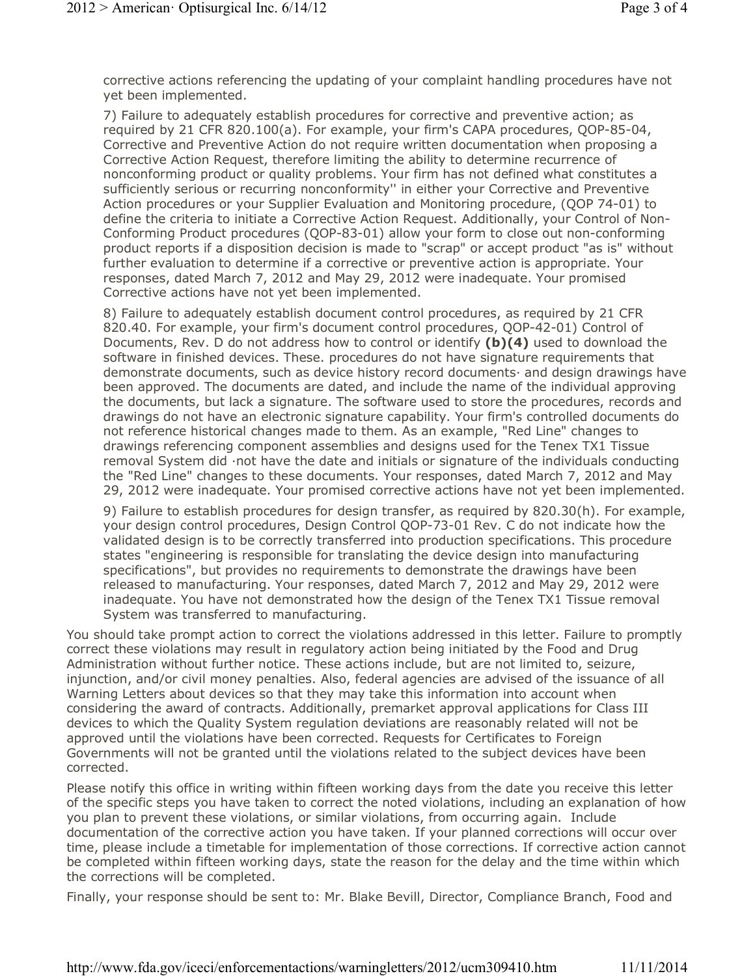corrective actions referencing the updating of your complaint handling procedures have not yet been implemented.

7) Failure to adequately establish procedures for corrective and preventive action; as required by 21 CFR 820.100(a). For example, your firm's CAPA procedures, QOP-85-04, Corrective and Preventive Action do not require written documentation when proposing a Corrective Action Request, therefore limiting the ability to determine recurrence of nonconforming product or quality problems. Your firm has not defined what constitutes a sufficiently serious or recurring nonconformity'' in either your Corrective and Preventive Action procedures or your Supplier Evaluation and Monitoring procedure, (QOP 74-01) to define the criteria to initiate a Corrective Action Request. Additionally, your Control of Non-Conforming Product procedures (QOP-83-01) allow your form to close out non-conforming product reports if a disposition decision is made to "scrap" or accept product "as is" without further evaluation to determine if a corrective or preventive action is appropriate. Your responses, dated March 7, 2012 and May 29, 2012 were inadequate. Your promised Corrective actions have not yet been implemented.

8) Failure to adequately establish document control procedures, as required by 21 CFR 820.40. For example, your firm's document control procedures, QOP-42-01) Control of Documents, Rev. D do not address how to control or identify **(b)(4)** used to download the software in finished devices. These. procedures do not have signature requirements that demonstrate documents, such as device history record documents· and design drawings have been approved. The documents are dated, and include the name of the individual approving the documents, but lack a signature. The software used to store the procedures, records and drawings do not have an electronic signature capability. Your firm's controlled documents do not reference historical changes made to them. As an example, "Red Line" changes to drawings referencing component assemblies and designs used for the Tenex TX1 Tissue removal System did ·not have the date and initials or signature of the individuals conducting the "Red Line" changes to these documents. Your responses, dated March 7, 2012 and May 29, 2012 were inadequate. Your promised corrective actions have not yet been implemented.

9) Failure to establish procedures for design transfer, as required by 820.30(h). For example, your design control procedures, Design Control QOP-73-01 Rev. C do not indicate how the validated design is to be correctly transferred into production specifications. This procedure states "engineering is responsible for translating the device design into manufacturing specifications", but provides no requirements to demonstrate the drawings have been released to manufacturing. Your responses, dated March 7, 2012 and May 29, 2012 were inadequate. You have not demonstrated how the design of the Tenex TX1 Tissue removal System was transferred to manufacturing.

You should take prompt action to correct the violations addressed in this letter. Failure to promptly correct these violations may result in regulatory action being initiated by the Food and Drug Administration without further notice. These actions include, but are not limited to, seizure, injunction, and/or civil money penalties. Also, federal agencies are advised of the issuance of all Warning Letters about devices so that they may take this information into account when considering the award of contracts. Additionally, premarket approval applications for Class III devices to which the Quality System regulation deviations are reasonably related will not be approved until the violations have been corrected. Requests for Certificates to Foreign Governments will not be granted until the violations related to the subject devices have been corrected.

Please notify this office in writing within fifteen working days from the date you receive this letter of the specific steps you have taken to correct the noted violations, including an explanation of how you plan to prevent these violations, or similar violations, from occurring again. Include documentation of the corrective action you have taken. If your planned corrections will occur over time, please include a timetable for implementation of those corrections. If corrective action cannot be completed within fifteen working days, state the reason for the delay and the time within which the corrections will be completed.

Finally, your response should be sent to: Mr. Blake Bevill, Director, Compliance Branch, Food and